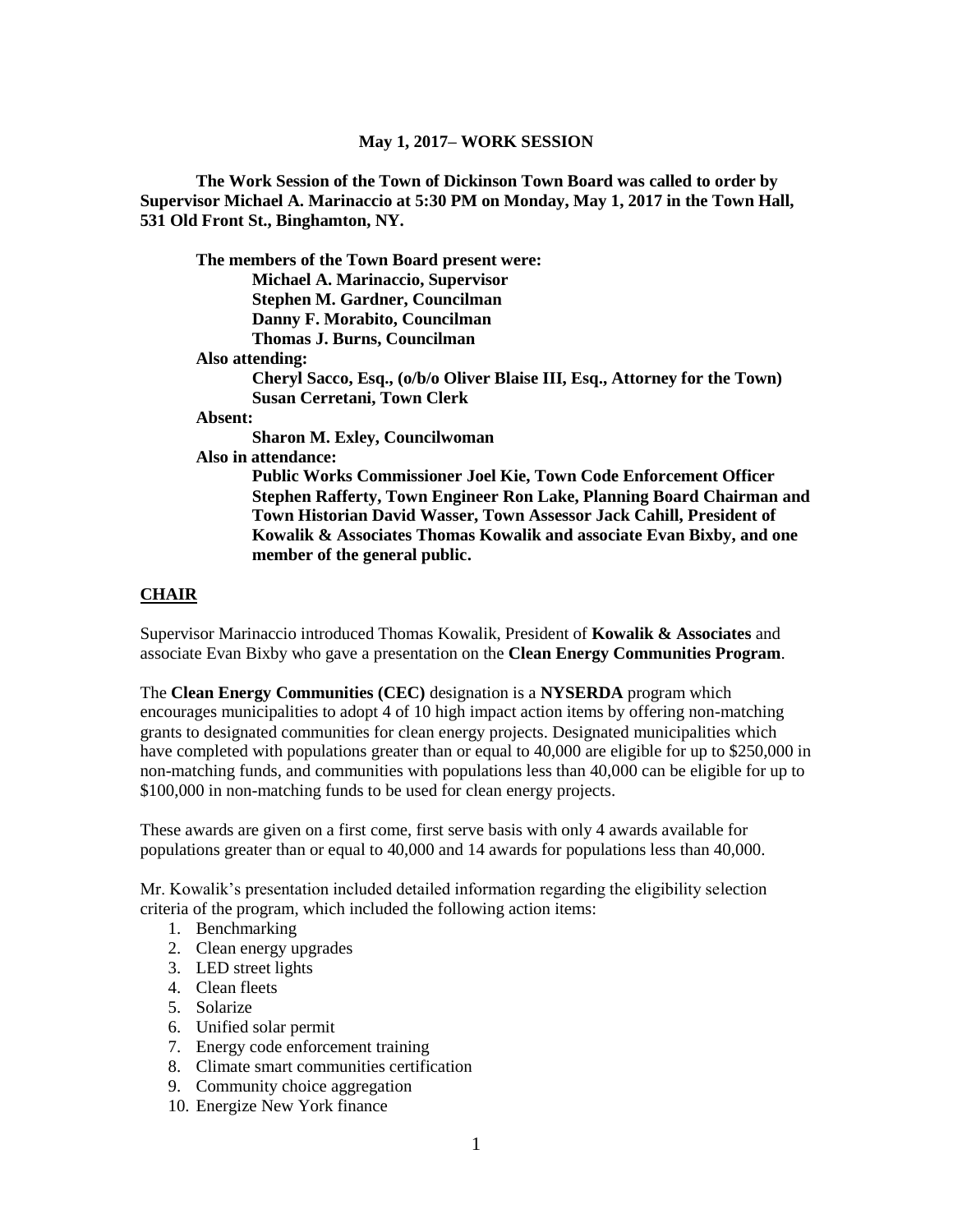#### **May 1, 2017– WORK SESSION**

**The Work Session of the Town of Dickinson Town Board was called to order by Supervisor Michael A. Marinaccio at 5:30 PM on Monday, May 1, 2017 in the Town Hall, 531 Old Front St., Binghamton, NY.**

**The members of the Town Board present were: Michael A. Marinaccio, Supervisor Stephen M. Gardner, Councilman Danny F. Morabito, Councilman Thomas J. Burns, Councilman Also attending: Cheryl Sacco, Esq., (o/b/o Oliver Blaise III, Esq., Attorney for the Town) Susan Cerretani, Town Clerk Absent: Sharon M. Exley, Councilwoman**

**Also in attendance:**

**Public Works Commissioner Joel Kie, Town Code Enforcement Officer Stephen Rafferty, Town Engineer Ron Lake, Planning Board Chairman and Town Historian David Wasser, Town Assessor Jack Cahill, President of Kowalik & Associates Thomas Kowalik and associate Evan Bixby, and one member of the general public.**

#### **CHAIR**

Supervisor Marinaccio introduced Thomas Kowalik, President of **Kowalik & Associates** and associate Evan Bixby who gave a presentation on the **Clean Energy Communities Program**.

The **Clean Energy Communities (CEC)** designation is a **NYSERDA** program which encourages municipalities to adopt 4 of 10 high impact action items by offering non-matching grants to designated communities for clean energy projects. Designated municipalities which have completed with populations greater than or equal to 40,000 are eligible for up to \$250,000 in non-matching funds, and communities with populations less than 40,000 can be eligible for up to \$100,000 in non-matching funds to be used for clean energy projects.

These awards are given on a first come, first serve basis with only 4 awards available for populations greater than or equal to 40,000 and 14 awards for populations less than 40,000.

Mr. Kowalik's presentation included detailed information regarding the eligibility selection criteria of the program, which included the following action items:

- 1. Benchmarking
- 2. Clean energy upgrades
- 3. LED street lights
- 4. Clean fleets
- 5. Solarize
- 6. Unified solar permit
- 7. Energy code enforcement training
- 8. Climate smart communities certification
- 9. Community choice aggregation
- 10. Energize New York finance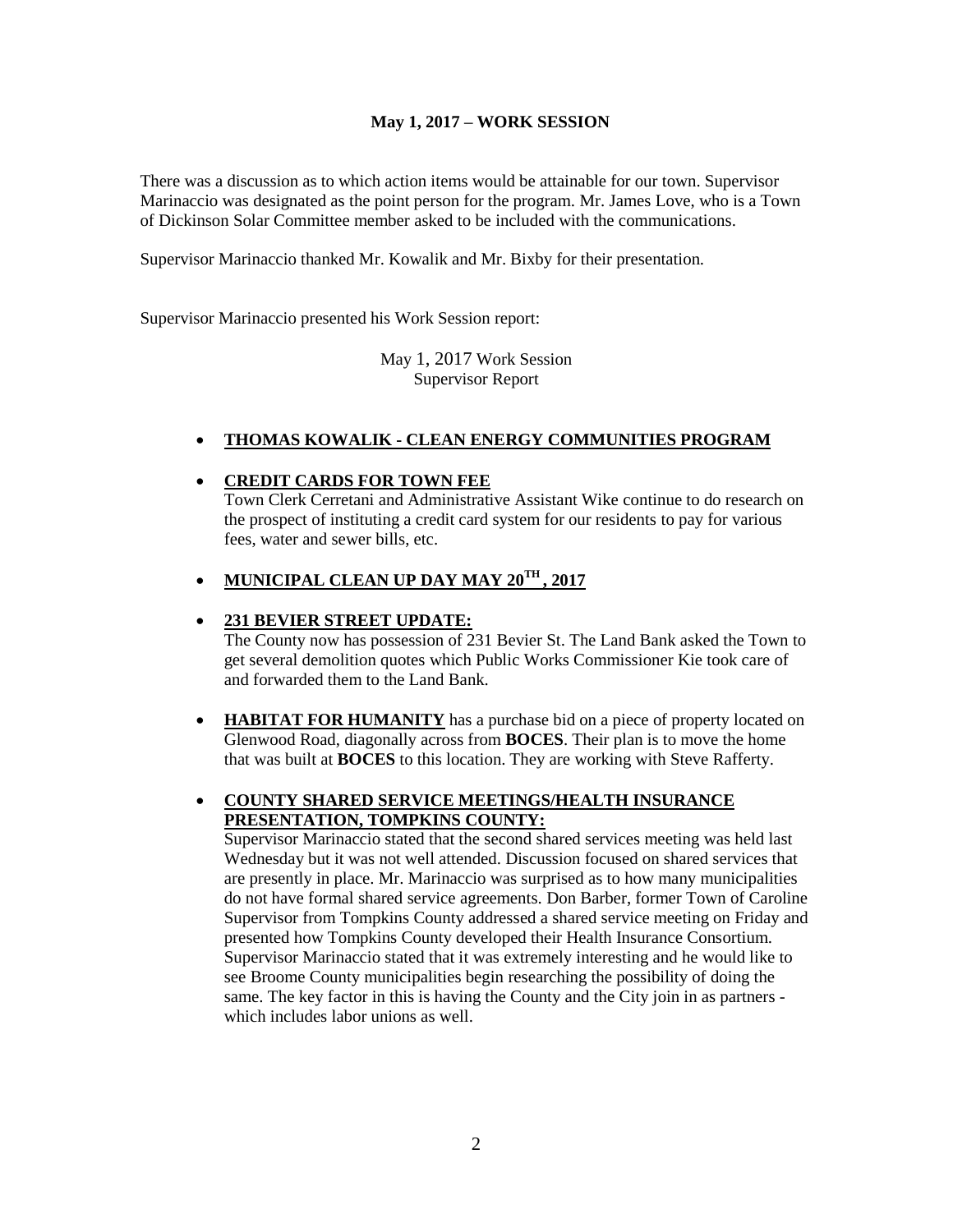### **May 1, 2017 – WORK SESSION**

There was a discussion as to which action items would be attainable for our town. Supervisor Marinaccio was designated as the point person for the program. Mr. James Love, who is a Town of Dickinson Solar Committee member asked to be included with the communications.

Supervisor Marinaccio thanked Mr. Kowalik and Mr. Bixby for their presentation.

Supervisor Marinaccio presented his Work Session report:

May 1, 2017 Work Session Supervisor Report

## **THOMAS KOWALIK - CLEAN ENERGY COMMUNITIES PROGRAM**

### **CREDIT CARDS FOR TOWN FEE**

Town Clerk Cerretani and Administrative Assistant Wike continue to do research on the prospect of instituting a credit card system for our residents to pay for various fees, water and sewer bills, etc.

# **MUNICIPAL CLEAN UP DAY MAY 20TH , 2017**

### **231 BEVIER STREET UPDATE:**

The County now has possession of 231 Bevier St. The Land Bank asked the Town to get several demolition quotes which Public Works Commissioner Kie took care of and forwarded them to the Land Bank.

 **HABITAT FOR HUMANITY** has a purchase bid on a piece of property located on Glenwood Road, diagonally across from **BOCES**. Their plan is to move the home that was built at **BOCES** to this location. They are working with Steve Rafferty.

## **COUNTY SHARED SERVICE MEETINGS/HEALTH INSURANCE PRESENTATION, TOMPKINS COUNTY:**

Supervisor Marinaccio stated that the second shared services meeting was held last Wednesday but it was not well attended. Discussion focused on shared services that are presently in place. Mr. Marinaccio was surprised as to how many municipalities do not have formal shared service agreements. Don Barber, former Town of Caroline Supervisor from Tompkins County addressed a shared service meeting on Friday and presented how Tompkins County developed their Health Insurance Consortium. Supervisor Marinaccio stated that it was extremely interesting and he would like to see Broome County municipalities begin researching the possibility of doing the same. The key factor in this is having the County and the City join in as partners which includes labor unions as well.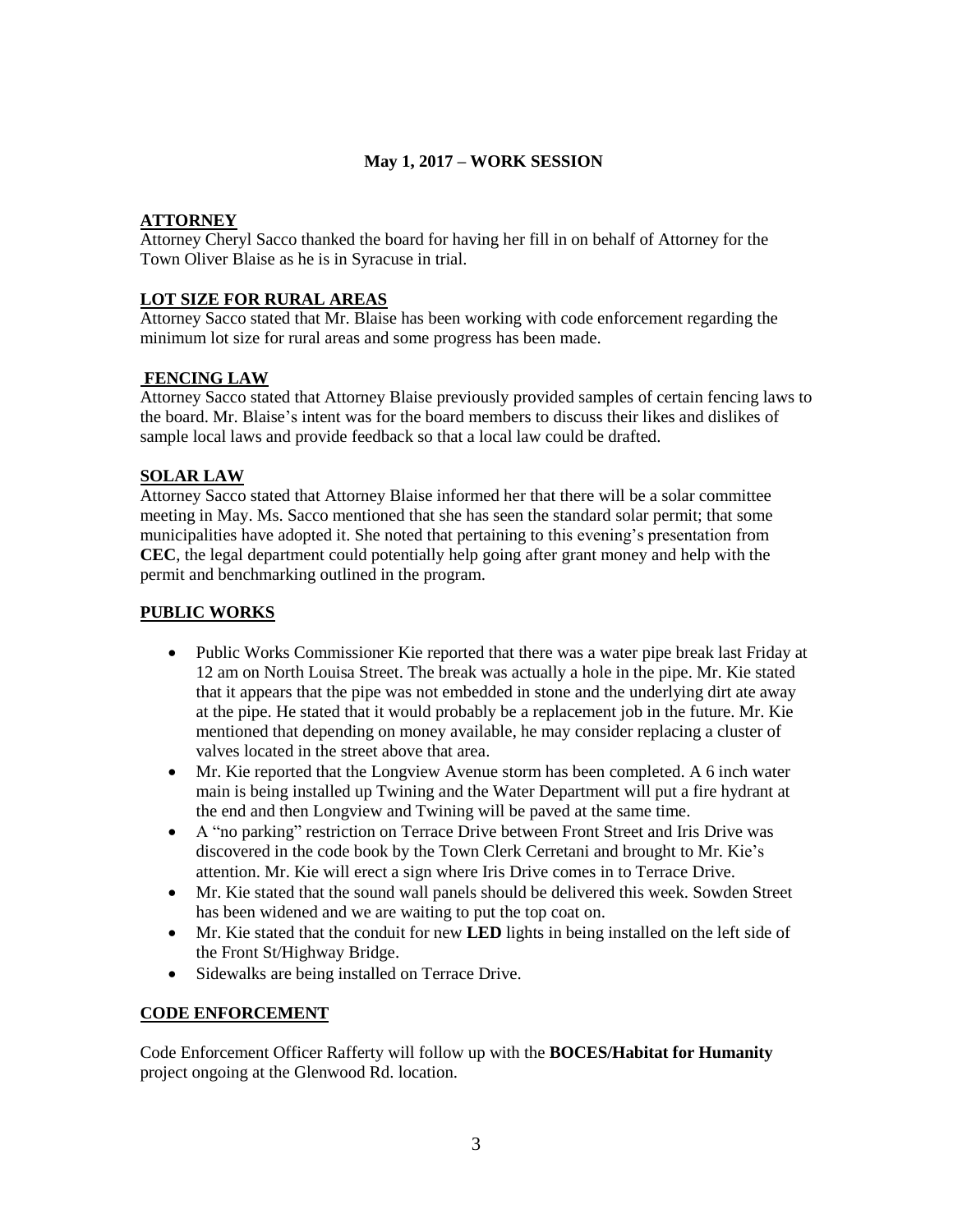## **May 1, 2017 – WORK SESSION**

## **ATTORNEY**

Attorney Cheryl Sacco thanked the board for having her fill in on behalf of Attorney for the Town Oliver Blaise as he is in Syracuse in trial.

## **LOT SIZE FOR RURAL AREAS**

Attorney Sacco stated that Mr. Blaise has been working with code enforcement regarding the minimum lot size for rural areas and some progress has been made.

## **FENCING LAW**

Attorney Sacco stated that Attorney Blaise previously provided samples of certain fencing laws to the board. Mr. Blaise's intent was for the board members to discuss their likes and dislikes of sample local laws and provide feedback so that a local law could be drafted.

## **SOLAR LAW**

Attorney Sacco stated that Attorney Blaise informed her that there will be a solar committee meeting in May. Ms. Sacco mentioned that she has seen the standard solar permit; that some municipalities have adopted it. She noted that pertaining to this evening's presentation from **CEC**, the legal department could potentially help going after grant money and help with the permit and benchmarking outlined in the program.

## **PUBLIC WORKS**

- Public Works Commissioner Kie reported that there was a water pipe break last Friday at 12 am on North Louisa Street. The break was actually a hole in the pipe. Mr. Kie stated that it appears that the pipe was not embedded in stone and the underlying dirt ate away at the pipe. He stated that it would probably be a replacement job in the future. Mr. Kie mentioned that depending on money available, he may consider replacing a cluster of valves located in the street above that area.
- Mr. Kie reported that the Longview Avenue storm has been completed. A 6 inch water main is being installed up Twining and the Water Department will put a fire hydrant at the end and then Longview and Twining will be paved at the same time.
- A "no parking" restriction on Terrace Drive between Front Street and Iris Drive was discovered in the code book by the Town Clerk Cerretani and brought to Mr. Kie's attention. Mr. Kie will erect a sign where Iris Drive comes in to Terrace Drive.
- Mr. Kie stated that the sound wall panels should be delivered this week. Sowden Street has been widened and we are waiting to put the top coat on.
- Mr. Kie stated that the conduit for new **LED** lights in being installed on the left side of the Front St/Highway Bridge.
- Sidewalks are being installed on Terrace Drive.

## **CODE ENFORCEMENT**

Code Enforcement Officer Rafferty will follow up with the **BOCES/Habitat for Humanity** project ongoing at the Glenwood Rd. location.